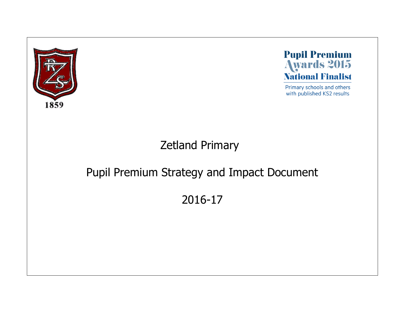



Primary schools and others with published KS2 results

# Zetland Primary

# Pupil Premium Strategy and Impact Document

2016-17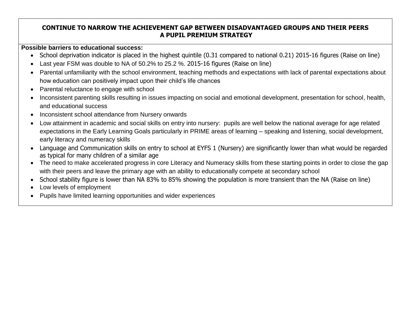# **CONTINUE TO NARROW THE ACHIEVEMENT GAP BETWEEN DISADVANTAGED GROUPS AND THEIR PEERS A PUPIL PREMIUM STRATEGY**

## **Possible barriers to educational success:**

- School deprivation indicator is placed in the highest quintile (0.31 compared to national 0.21) 2015-16 figures (Raise on line)
- Last year FSM was double to NA of 50.2% to 25.2 %. 2015-16 figures (Raise on line)
- Parental unfamiliarity with the school environment, teaching methods and expectations with lack of parental expectations about how education can positively impact upon their child's life chances
- Parental reluctance to engage with school
- Inconsistent parenting skills resulting in issues impacting on social and emotional development, presentation for school, health, and educational success
- Inconsistent school attendance from Nursery onwards
- Low attainment in academic and social skills on entry into nursery: pupils are well below the national average for age related expectations in the Early Learning Goals particularly in PRIME areas of learning – speaking and listening, social development, early literacy and numeracy skills
- Language and Communication skills on entry to school at EYFS 1 (Nursery) are significantly lower than what would be regarded as typical for many children of a similar age
- The need to make accelerated progress in core Literacy and Numeracy skills from these starting points in order to close the gap with their peers and leave the primary age with an ability to educationally compete at secondary school
- School stability figure is lower than NA 83% to 85% showing the population is more transient than the NA (Raise on line)
- Low levels of employment
- Pupils have limited learning opportunities and wider experiences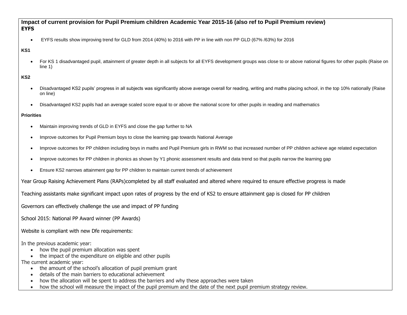### **Impact of current provision for Pupil Premium children Academic Year 2015-16 (also ref to Pupil Premium review) EYFS**

EYFS results show improving trend for GLD from 2014 (40%) to 2016 with PP in line with non PP GLD (67% /63%) for 2016

### **KS1**

• For KS 1 disadvantaged pupil, attainment of greater depth in all subjects for all EYFS development groups was close to or above national figures for other pupils (Raise on line 1)

#### **KS2**

- Disadvantaged KS2 pupils' progress in all subjects was significantly above average overall for reading, writing and maths placing school, in the top 10% nationally (Raise on line)
- Disadvantaged KS2 pupils had an average scaled score equal to or above the national score for other pupils in reading and mathematics

#### **Priorities**

- Maintain improving trends of GLD in EYFS and close the gap further to NA
- Improve outcomes for Pupil Premium boys to close the learning gap towards National Average
- Improve outcomes for PP children including boys in maths and Pupil Premium girls in RWM so that increased number of PP children achieve age related expectation
- Improve outcomes for PP children in phonics as shown by Y1 phonic assessment results and data trend so that pupils narrow the learning gap
- Ensure KS2 narrows attainment gap for PP children to maintain current trends of achievement

Year Group Raising Achievement Plans (RAPs)completed by all staff evaluated and altered where required to ensure effective progress is made

Teaching assistants make significant impact upon rates of progress by the end of KS2 to ensure attainment gap is closed for PP children

Governors can effectively challenge the use and impact of PP funding

School 2015: National PP Award winner (PP Awards)

Website is compliant with new Dfe requirements:

In the previous academic year:

- how the pupil premium allocation was spent
- the impact of the expenditure on eligible and other pupils

The current academic year:

- the amount of the school's allocation of pupil premium grant
- details of the main barriers to educational achievement
- how the allocation will be spent to address the barriers and why these approaches were taken
- how the school will measure the impact of the pupil premium and the date of the next pupil premium strategy review.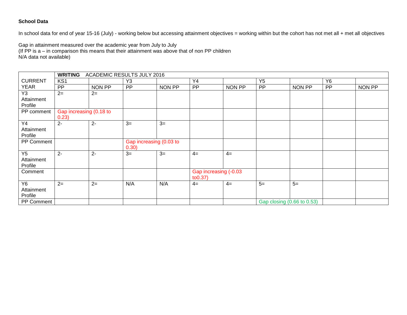## **School Data**

In school data for end of year 15-16 (July) - working below but accessing attainment objectives = working within but the cohort has not met all + met all objectives

Gap in attainment measured over the academic year from July to July (If PP is a – in comparison this means that their attainment was above that of non PP children N/A data not available)

|                       | <b>WRITING</b>                   |        | <b>ACADEMIC RESULTS JULY 2016</b> |        |                                   |        |                            |        |           |        |
|-----------------------|----------------------------------|--------|-----------------------------------|--------|-----------------------------------|--------|----------------------------|--------|-----------|--------|
| <b>CURRENT</b>        | KS <sub>1</sub>                  |        | Y3                                |        | Y4                                |        | Y <sub>5</sub>             |        | <b>Y6</b> |        |
| <b>YEAR</b>           | PP                               | NON PP | <b>PP</b>                         | NON PP | <b>PP</b>                         | NON PP | <b>PP</b>                  | NON PP | PP        | NON PP |
| Y <sub>3</sub>        | $2=$                             | $2=$   |                                   |        |                                   |        |                            |        |           |        |
| Attainment            |                                  |        |                                   |        |                                   |        |                            |        |           |        |
| Profile               |                                  |        |                                   |        |                                   |        |                            |        |           |        |
| PP comment            | Gap increasing (0.18 to<br>0.23) |        |                                   |        |                                   |        |                            |        |           |        |
| Y4                    | $2 -$                            | $2 -$  | $3=$                              | $3=$   |                                   |        |                            |        |           |        |
| Attainment            |                                  |        |                                   |        |                                   |        |                            |        |           |        |
| Profile               |                                  |        |                                   |        |                                   |        |                            |        |           |        |
| PP Comment            |                                  |        | Gap increasing (0.03 to           |        |                                   |        |                            |        |           |        |
|                       |                                  |        | 0.30)                             |        |                                   |        |                            |        |           |        |
| Y <sub>5</sub>        | $2 -$                            | $2 -$  | $3=$                              | $3=$   | $4=$                              | $4=$   |                            |        |           |        |
| Attainment<br>Profile |                                  |        |                                   |        |                                   |        |                            |        |           |        |
| Comment               |                                  |        |                                   |        | Gap increasing (-0.03<br>to 0.37) |        |                            |        |           |        |
| Y6                    | $2=$                             | $2=$   | N/A                               | N/A    | $4=$                              | $4=$   | $5=$                       | $5=$   |           |        |
| Attainment            |                                  |        |                                   |        |                                   |        |                            |        |           |        |
| Profile               |                                  |        |                                   |        |                                   |        |                            |        |           |        |
| PP Comment            |                                  |        |                                   |        |                                   |        | Gap closing (0.66 to 0.53) |        |           |        |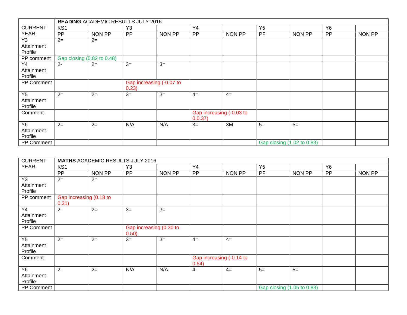|                |                            | <b>READING ACADEMIC RESULTS JULY 2016</b> |                          |        |                                     |        |                            |        |                |        |
|----------------|----------------------------|-------------------------------------------|--------------------------|--------|-------------------------------------|--------|----------------------------|--------|----------------|--------|
| <b>CURRENT</b> | KS1                        |                                           | Y3                       |        | Y4                                  |        | Y <sub>5</sub>             |        | Y <sub>6</sub> |        |
| <b>YEAR</b>    | <b>PP</b>                  | NON PP                                    | <b>PP</b>                | NON PP | PP                                  | NON PP | PP                         | NON PP | <b>PP</b>      | NON PP |
| Y <sub>3</sub> | $2=$                       | $2=$                                      |                          |        |                                     |        |                            |        |                |        |
| Attainment     |                            |                                           |                          |        |                                     |        |                            |        |                |        |
| Profile        |                            |                                           |                          |        |                                     |        |                            |        |                |        |
| PP comment     | Gap closing (0.82 to 0.48) |                                           |                          |        |                                     |        |                            |        |                |        |
| Y4             | $2 -$                      | $2=$                                      | $3=$                     | $3=$   |                                     |        |                            |        |                |        |
| Attainment     |                            |                                           |                          |        |                                     |        |                            |        |                |        |
| Profile        |                            |                                           |                          |        |                                     |        |                            |        |                |        |
| PP Comment     |                            |                                           | Gap increasing (-0.07 to |        |                                     |        |                            |        |                |        |
|                |                            |                                           | 0.23)                    |        |                                     |        |                            |        |                |        |
| Y5             | $2=$                       | $2=$                                      | $3=$                     | $3=$   | $4=$                                | $4=$   |                            |        |                |        |
| Attainment     |                            |                                           |                          |        |                                     |        |                            |        |                |        |
| Profile        |                            |                                           |                          |        |                                     |        |                            |        |                |        |
| Comment        |                            |                                           |                          |        | Gap increasing (-0.03 to<br>0.0.37) |        |                            |        |                |        |
| <b>Y6</b>      | $2=$                       | $2=$                                      | N/A                      | N/A    | $3=$                                | 3M     | $5-$                       | $5=$   |                |        |
| Attainment     |                            |                                           |                          |        |                                     |        |                            |        |                |        |
| Profile        |                            |                                           |                          |        |                                     |        |                            |        |                |        |
| PP Comment     |                            |                                           |                          |        |                                     |        | Gap closing (1.02 to 0.83) |        |                |        |

| <b>CURRENT</b> |                         |        | <b>MATHS ACADEMIC RESULTS JULY 2016</b> |        |                                   |        |                            |        |                |        |
|----------------|-------------------------|--------|-----------------------------------------|--------|-----------------------------------|--------|----------------------------|--------|----------------|--------|
| <b>YEAR</b>    | KS <sub>1</sub>         |        | Y3                                      |        | Y4                                |        | Y <sub>5</sub>             |        | Y <sub>6</sub> |        |
|                | <b>PP</b>               | NON PP | PP                                      | NON PP | PP                                | NON PP | PP                         | NON PP | PP             | NON PP |
| Y <sub>3</sub> | $2=$                    | $2=$   |                                         |        |                                   |        |                            |        |                |        |
| Attainment     |                         |        |                                         |        |                                   |        |                            |        |                |        |
| Profile        |                         |        |                                         |        |                                   |        |                            |        |                |        |
| PP comment     | Gap increasing (0.18 to |        |                                         |        |                                   |        |                            |        |                |        |
|                | 0.31)                   |        |                                         |        |                                   |        |                            |        |                |        |
| Y4             | $2 -$                   | $2=$   | $3=$                                    | $3=$   |                                   |        |                            |        |                |        |
| Attainment     |                         |        |                                         |        |                                   |        |                            |        |                |        |
| Profile        |                         |        |                                         |        |                                   |        |                            |        |                |        |
| PP Comment     |                         |        | Gap increasing (0.30 to<br>0.50)        |        |                                   |        |                            |        |                |        |
| Y <sub>5</sub> | $2=$                    | $2=$   | $3=$                                    | $3=$   | $4=$                              | $4=$   |                            |        |                |        |
| Attainment     |                         |        |                                         |        |                                   |        |                            |        |                |        |
| Profile        |                         |        |                                         |        |                                   |        |                            |        |                |        |
| Comment        |                         |        |                                         |        | Gap increasing (-0.14 to<br>0.54) |        |                            |        |                |        |
| Y6             | $2 -$                   | $2=$   | N/A                                     | N/A    | $4-$                              | $4=$   | $5=$                       | $5=$   |                |        |
| Attainment     |                         |        |                                         |        |                                   |        |                            |        |                |        |
| Profile        |                         |        |                                         |        |                                   |        |                            |        |                |        |
| PP Comment     |                         |        |                                         |        |                                   |        | Gap closing (1.05 to 0.83) |        |                |        |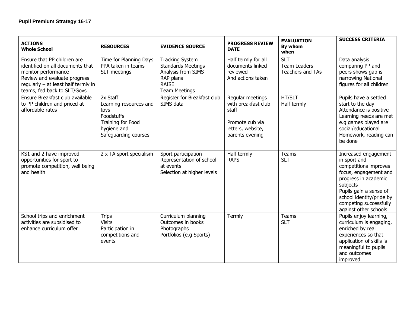| <b>ACTIONS</b><br><b>Whole School</b>                                                                                                                                                        | <b>RESOURCES</b>                                                                                                            | <b>EVIDENCE SOURCE</b>                                                                                                         | <b>PROGRESS REVIEW</b><br><b>DATE</b>                                                                       | <b>EVALUATION</b><br>By whom<br>when                        | <b>SUCCESS CRITERIA</b>                                                                                                                                                                                                             |
|----------------------------------------------------------------------------------------------------------------------------------------------------------------------------------------------|-----------------------------------------------------------------------------------------------------------------------------|--------------------------------------------------------------------------------------------------------------------------------|-------------------------------------------------------------------------------------------------------------|-------------------------------------------------------------|-------------------------------------------------------------------------------------------------------------------------------------------------------------------------------------------------------------------------------------|
| Ensure that PP children are<br>identified on all documents that<br>monitor performance<br>Review and evaluate progress<br>regularly - at least half termly in<br>teams, fed back to SLT/Govs | Time for Planning Days<br>PPA taken in teams<br>SLT meetings                                                                | <b>Tracking System</b><br><b>Standards Meetings</b><br>Analysis from SIMS<br>RAP plans<br><b>RAISE</b><br><b>Team Meetings</b> | Half termly for all<br>documents linked<br>reviewed<br>And actions taken                                    | $\overline{SLT}$<br><b>Team Leaders</b><br>Teachers and TAs | Data analysis<br>comparing PP and<br>peers shows gap is<br>narrowing National<br>figures for all children                                                                                                                           |
| Ensure Breakfast club available<br>to PP children and priced at<br>affordable rates                                                                                                          | 2x Staff<br>Learning resources and<br>toys<br><b>Foodstuffs</b><br>Training for Food<br>hygiene and<br>Safeguarding courses | Register for Breakfast club<br>SIMS data                                                                                       | Regular meetings<br>with breakfast club<br>staff<br>Promote cub via<br>letters, website,<br>parents evening | HT/SLT<br>Half termly                                       | Pupils have a settled<br>start to the day<br>Attendance is positive<br>Learning needs are met<br>e.g games played are<br>social/educational<br>Homework, reading can<br>be done                                                     |
| KS1 and 2 have improved<br>opportunities for sport to<br>promote competition, well being<br>and health                                                                                       | 2 x TA sport specialism                                                                                                     | Sport participation<br>Representation of school<br>at events<br>Selection at higher levels                                     | Half termly<br><b>RAPS</b>                                                                                  | Teams<br><b>SLT</b>                                         | Increased engagement<br>in sport and<br>competitions improves<br>focus, engagement and<br>progress in academic<br>subjects<br>Pupils gain a sense of<br>school identity/pride by<br>competing successfully<br>against other schools |
| School trips and enrichment<br>activities are subsidised to<br>enhance curriculum offer                                                                                                      | <b>Trips</b><br><b>Visits</b><br>Participation in<br>competitions and<br>events                                             | Curriculum planning<br>Outcomes in books<br>Photographs<br>Portfolios (e.g Sports)                                             | Termly                                                                                                      | Teams<br><b>SLT</b>                                         | Pupils enjoy learning,<br>curriculum is engaging,<br>enriched by real<br>experiences so that<br>application of skills is<br>meaningful to pupils<br>and outcomes<br>improved                                                        |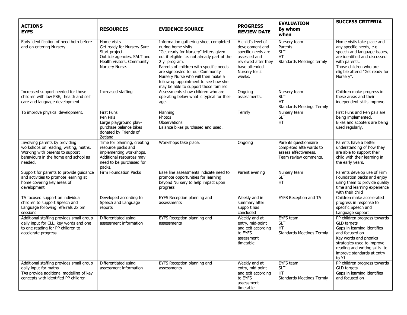| <b>ACTIONS</b><br><b>EYFS</b>                                                                                                                                 | <b>RESOURCES</b>                                                                                                                               | <b>EVIDENCE SOURCE</b>                                                                                                                                                                                                                                                                                                                                                      | <b>PROGRESS</b><br><b>REVIEW DATE</b>                                                                                                          | <b>EVALUATION</b><br>By whom<br>when                                                               | <b>SUCCESS CRITERIA</b>                                                                                                                                                                                                     |
|---------------------------------------------------------------------------------------------------------------------------------------------------------------|------------------------------------------------------------------------------------------------------------------------------------------------|-----------------------------------------------------------------------------------------------------------------------------------------------------------------------------------------------------------------------------------------------------------------------------------------------------------------------------------------------------------------------------|------------------------------------------------------------------------------------------------------------------------------------------------|----------------------------------------------------------------------------------------------------|-----------------------------------------------------------------------------------------------------------------------------------------------------------------------------------------------------------------------------|
| Early identification of need both before<br>and on entering Nursery.                                                                                          | Home visits<br>Get ready for Nursery Sure<br>Start project.<br>Outside agencies, SALT and<br>Health visitors, Community<br>Nursery Nurse.      | Information gathering sheet completed<br>during home visits<br>"Get ready for Nursery" letters given<br>out if eligible i.e. not already part of the<br>2 yr program.<br>Parents of children with specific needs<br>are signposted to our Community<br>Nursery Nurse who will then make a<br>follow up appointment to see how she<br>may be able to support those families. | A child's level of<br>development and<br>specific needs are<br>assessed and<br>reviewed after they<br>have attended<br>Nursery for 2<br>weeks. | Nursery team<br>Parents<br><b>SLT</b><br>HT<br>Standards Meetings termly                           | Home visits take place and<br>any specific needs, e.g.<br>speech and language issues,<br>are identified and discussed<br>with parents.<br>Those children who are<br>eligible attend "Get ready for<br>Nursery".             |
| Increased support needed for those<br>children with low PSE, health and self<br>care and language development                                                 | Increased staffing                                                                                                                             | Assessments show children who are<br>operating below what is typical for their<br>age.                                                                                                                                                                                                                                                                                      | Ongoing<br>assessments.                                                                                                                        | Nursery team<br><b>SLT</b><br>HT<br><b>Standards Meetings Termly</b>                               | Children make progress in<br>these areas and their<br>independent skills improve.                                                                                                                                           |
| To improve physical development.                                                                                                                              | <b>First Funs</b><br>Pen Pals<br>Large playground play-<br>purchase balance bikes<br>donated by Friends of<br>Zetland.                         | Planning<br>Photos<br>Observations<br>Balance bikes purchased and used.                                                                                                                                                                                                                                                                                                     | Termly                                                                                                                                         | Nursery team<br><b>SLT</b><br>HT                                                                   | First Funs and Pen pals are<br>being implemented.<br>Bikes and scooters are being<br>used regularly.                                                                                                                        |
| Involving parents by providing<br>workshops on reading, writing, maths.<br>Working with parents to support<br>behaviours in the home and school as<br>needed. | Time for planning, creating<br>resource packs and<br>implementing workshops.<br>Additional resources may<br>need to be purchased for<br>packs. | Workshops take place.                                                                                                                                                                                                                                                                                                                                                       | Ongoing                                                                                                                                        | Parents questionnaire<br>completed afterwards to<br>assess effectiveness.<br>Team review comments. | Parents have a better<br>understanding of how they<br>are able to support their<br>child with their learning in<br>the early years.                                                                                         |
| Support for parents to provide guidance<br>and activities to promote learning at<br>home covering key areas of<br>development                                 | Firm Foundation Packs                                                                                                                          | Base line assessments indicate need to<br>promote opportunities for learning<br>beyond Nursery to help impact upon<br>progress                                                                                                                                                                                                                                              | Parent evening                                                                                                                                 | Nursery team<br><b>SLT</b><br>HT                                                                   | Parents develop use of Firm<br>Foundation packs and enjoy<br>using them to provide quality<br>time and learning experience<br>with their child                                                                              |
| TA focused support on individual<br>children to support Speech and<br>Language following referrals 2x pm<br>sessions                                          | Developed according to<br>Speech and Language<br>reports                                                                                       | EYFS Reception planning and<br>assessments                                                                                                                                                                                                                                                                                                                                  | Weekly and in<br>summary after<br>support has<br>concluded                                                                                     | <b>EYFS Reception and TA</b>                                                                       | Children make accelerated<br>progress in response to<br>specific Speech and<br>Language support                                                                                                                             |
| Additional staffing provides small group<br>daily input for CLL, key words and one<br>to one reading for PP children to<br>accelerate progress                | Differentiated using<br>assessment information                                                                                                 | EYFS Reception planning and<br>assessments                                                                                                                                                                                                                                                                                                                                  | Weekly and at<br>entry, mid-point<br>and exit according<br>to EYFS<br>assessment<br>timetable                                                  | <b>EYFS</b> team<br><b>SLT</b><br>HT<br><b>Standards Meetings Termly</b>                           | PP children progress towards<br>GLD targets<br>Gaps in learning identifies<br>and focused on<br>Key words and phonics<br>strategies used to improve<br>reading and writing skills to<br>improve standards at entry<br>to Y1 |
| Additional staffing provides small group<br>daily input for maths<br>TAs provide additional modelling of key<br>concepts with identified PP children          | Differentiated using<br>assessment information                                                                                                 | EYFS Reception planning and<br>assessments                                                                                                                                                                                                                                                                                                                                  | Weekly and at<br>entry, mid-point<br>and exit according<br>to EYFS<br>assessment<br>timetable                                                  | <b>EYFS</b> team<br><b>SLT</b><br><b>HT</b><br><b>Standards Meetings Termly</b>                    | PP children progress towards<br>GLD targets<br>Gaps in learning identifies<br>and focused on                                                                                                                                |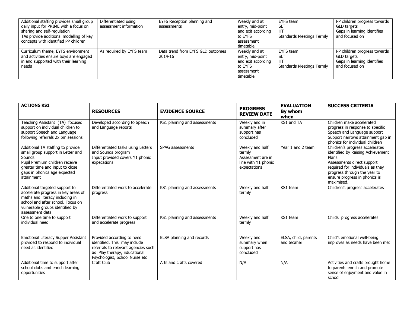| Additional staffing provides small group<br>daily input for PRIME with a focus on<br>sharing and self-regulation<br>TAs provide additional modelling of key<br>concepts with identified PP children | Differentiated using<br>assessment information | EYFS Reception planning and<br>assessments   | Weekly and at<br>entry, mid-point<br>and exit according<br>to EYFS<br>assessment<br>timetable | EYFS team<br>-SLT<br>HТ<br>Standards Meetings Termly       | PP children progress towards<br>GLD targets<br>Gaps in learning identifies<br>and focused on |
|-----------------------------------------------------------------------------------------------------------------------------------------------------------------------------------------------------|------------------------------------------------|----------------------------------------------|-----------------------------------------------------------------------------------------------|------------------------------------------------------------|----------------------------------------------------------------------------------------------|
| Curriculum theme, EYFS environment<br>and activities ensure boys are engaged<br>in and supported with their learning<br>needs                                                                       | As required by EYFS team                       | Data trend from EYFS GLD outcomes<br>2014-16 | Weekly and at<br>entry, mid-point<br>and exit according<br>to EYFS<br>assessment<br>timetable | EYFS team<br><b>SLT</b><br>HT<br>Standards Meetings Termly | PP children progress towards<br>GLD targets<br>Gaps in learning identifies<br>and focused on |

| <b>ACTIONS KS1</b>                                                                                                                                                                                   | <b>RESOURCES</b>                                                                                                                                                    | <b>EVIDENCE SOURCE</b>       | <b>PROGRESS</b><br><b>REVIEW DATE</b>                                                 | <b>EVALUATION</b><br>By whom<br>when | <b>SUCCESS CRITERIA</b>                                                                                                                                                                                                        |
|------------------------------------------------------------------------------------------------------------------------------------------------------------------------------------------------------|---------------------------------------------------------------------------------------------------------------------------------------------------------------------|------------------------------|---------------------------------------------------------------------------------------|--------------------------------------|--------------------------------------------------------------------------------------------------------------------------------------------------------------------------------------------------------------------------------|
| Teaching Assistant (TA) focused<br>support on individual children to<br>support Speech and Language<br>following referrals 2x pm sessions                                                            | Developed according to Speech<br>and Language reports                                                                                                               | KS1 planning and assessments | Weekly and in<br>summary after<br>support has<br>concluded                            | KS1 and TA                           | Children make accelerated<br>progress in response to specific<br>Speech and Language support<br>Support narrows attainment gap in<br>phonics for individual children                                                           |
| Additional TA staffing to provide<br>small group support in Letter and<br>Sounds<br>Pupil Premium children receive<br>greater time and input to close<br>gaps in phonics age expected<br>attainment  | Differentiated tasks using Letters<br>and Sounds program<br>Input provided covers Y1 phonic<br>expecations                                                          | SPAG assessments             | Weekly and half<br>termly<br>Assessment are in<br>line with Y1 phonic<br>expectations | Year 1 and 2 team                    | Children's progress accelerates<br>identified by Raising Achievement<br>Plans<br>Assessments direct support<br>required for individuals as they<br>progress through the year to<br>ensure progress in phonics is<br>maximised. |
| Additional targeted support to<br>accelerate progress in key areas of<br>maths and literacy including in<br>school and after school. Focus on<br>vulnerable groups identified by<br>assessment data. | Differentiated work to accelerate<br>progress                                                                                                                       | KS1 planning and assessments | Weekly and half<br>termly                                                             | KS1 team                             | Children's progress accelerates                                                                                                                                                                                                |
| One to one time to support<br>individual need                                                                                                                                                        | Differentiated work to support<br>and accelerate progress                                                                                                           | KS1 planning and assessments | Weekly and half<br>termly                                                             | KS1 team                             | Childs progress accelerates                                                                                                                                                                                                    |
| Emotional Literacy Supper Assistant<br>provided to respond to individual<br>need as identified                                                                                                       | Provided according to need<br>identified. This may include<br>referrals to relevant agencies such<br>as Play therapy, Educational<br>Psychologist, School Nurse etc | ELSA planning and records    | Weekly and<br>summary when<br>support has<br>concluded                                | ELSA, child, parents<br>and tecaher  | Child's emotional well-being<br>improves as needs have been met                                                                                                                                                                |
| Additional time to support after<br>school clubs and enrich learning<br>opportunities                                                                                                                | Craft Club                                                                                                                                                          | Arts and crafts covered      | N/A                                                                                   | N/A                                  | Activities and crafts brought home<br>to parents enrich and promote<br>sense of enjoyment and value in<br>school                                                                                                               |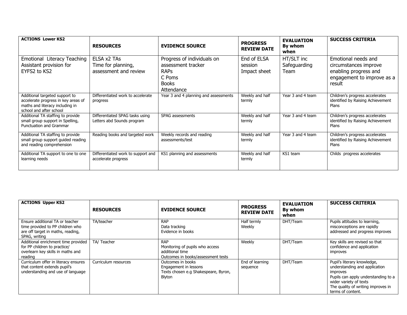| <b>ACTIONS Lower KS2</b>                                                                                                            | <b>RESOURCES</b>                                              | <b>EVIDENCE SOURCE</b>                                                                                  | <b>PROGRESS</b><br><b>REVIEW DATE</b>  | <b>EVALUATION</b><br>By whom<br>when | <b>SUCCESS CRITERIA</b>                                                                                       |
|-------------------------------------------------------------------------------------------------------------------------------------|---------------------------------------------------------------|---------------------------------------------------------------------------------------------------------|----------------------------------------|--------------------------------------|---------------------------------------------------------------------------------------------------------------|
| Emotional Literacy Teaching<br>Assistant provision for<br>EYFS2 to KS2                                                              | ELSA x2 TAs<br>Time for planning,<br>assessment and review    | Progress of individuals on<br>assessment tracker<br><b>RAPS</b><br>C Poms<br><b>Books</b><br>Attendance | End of ELSA<br>session<br>Impact sheet | HT/SLT inc<br>Safeguarding<br>Team   | Emotional needs and<br>circumstances improve<br>enabling progress and<br>engagement to improve as a<br>result |
| Additional targeted support to<br>accelerate progress in key areas of<br>maths and literacy including in<br>school and after school | Differentiated work to accelerate<br>progress                 | Year 3 and 4 planning and assessments                                                                   | Weekly and half<br>termly              | Year 3 and 4 team                    | Children's progress accelerates<br>identified by Raising Achievement<br>Plans                                 |
| Additional TA staffing to provide<br>small group support in Spelling,<br>Punctuation and Grammar                                    | Differentiated SPAG tasks using<br>Letters abd Sounds program | SPAG assessments                                                                                        | Weekly and half<br>termly              | Year 3 and 4 team                    | Children's progress accelerates<br>identified by Raising Achievement<br>Plans                                 |
| Additional TA staffing to provide<br>small group support guided reading<br>and reading comprehension                                | Reading books and targeted work                               | Weekly records and reading<br>assessments/test                                                          | Weekly and half<br>termly              | Year 3 and 4 team                    | Children's progress accelerates<br>identified by Raising Achievement<br>Plans                                 |
| Additional TA support to one to one<br>learning needs                                                                               | Differentiated work to support and<br>accelerate progress     | KS1 planning and assessments                                                                            | Weekly and half<br>termly              | KS1 team                             | Childs progress accelerates                                                                                   |

| <b>ACTIONS Upper KS2</b>                                                                                                  | <b>RESOURCES</b>     | <b>EVIDENCE SOURCE</b>                                                                                 | <b>PROGRESS</b><br><b>REVIEW DATE</b> | <b>EVALUATION</b><br>By whom<br>when | <b>SUCCESS CRITERIA</b>                                                                                                                                                                              |
|---------------------------------------------------------------------------------------------------------------------------|----------------------|--------------------------------------------------------------------------------------------------------|---------------------------------------|--------------------------------------|------------------------------------------------------------------------------------------------------------------------------------------------------------------------------------------------------|
| Ensure additional TA or teacher<br>time provided to PP children who<br>are off target in maths, reading,<br>SPAG, writing | TA/teacher           | <b>RAP</b><br>Data tracking<br>Evidence in books                                                       | Half termly<br>Weekly                 | DHT/Team                             | Pupils attitudes to learning,<br>misconceptions are rapidly<br>addressed and progress improves                                                                                                       |
| Additional enrichment time provided<br>for PP children to practice/<br>overlearn key skills in maths and<br>reading       | TA/Teacher           | <b>RAP</b><br>Monitoring of pupils who access<br>additional time<br>Outcomes in books/assessment tests | Weekly                                | DHT/Team                             | Key skills are revised so that<br>confidence and application<br>improves                                                                                                                             |
| Curriculum offer in literacy ensures<br>that content extends pupil's<br>understanding and use of language                 | Curriculum resources | Outcomes in books<br>Engagement in lessons<br>Texts chosen e.g Shakespeare, Byron,<br>Blyton           | End of learning<br>sequence           | DHT/Team                             | Pupil's literary knowledge,<br>understanding and application<br>improves<br>Pupils can apply understanding to a<br>wider variety of texts<br>The quality of writing improves in<br>terms of content. |